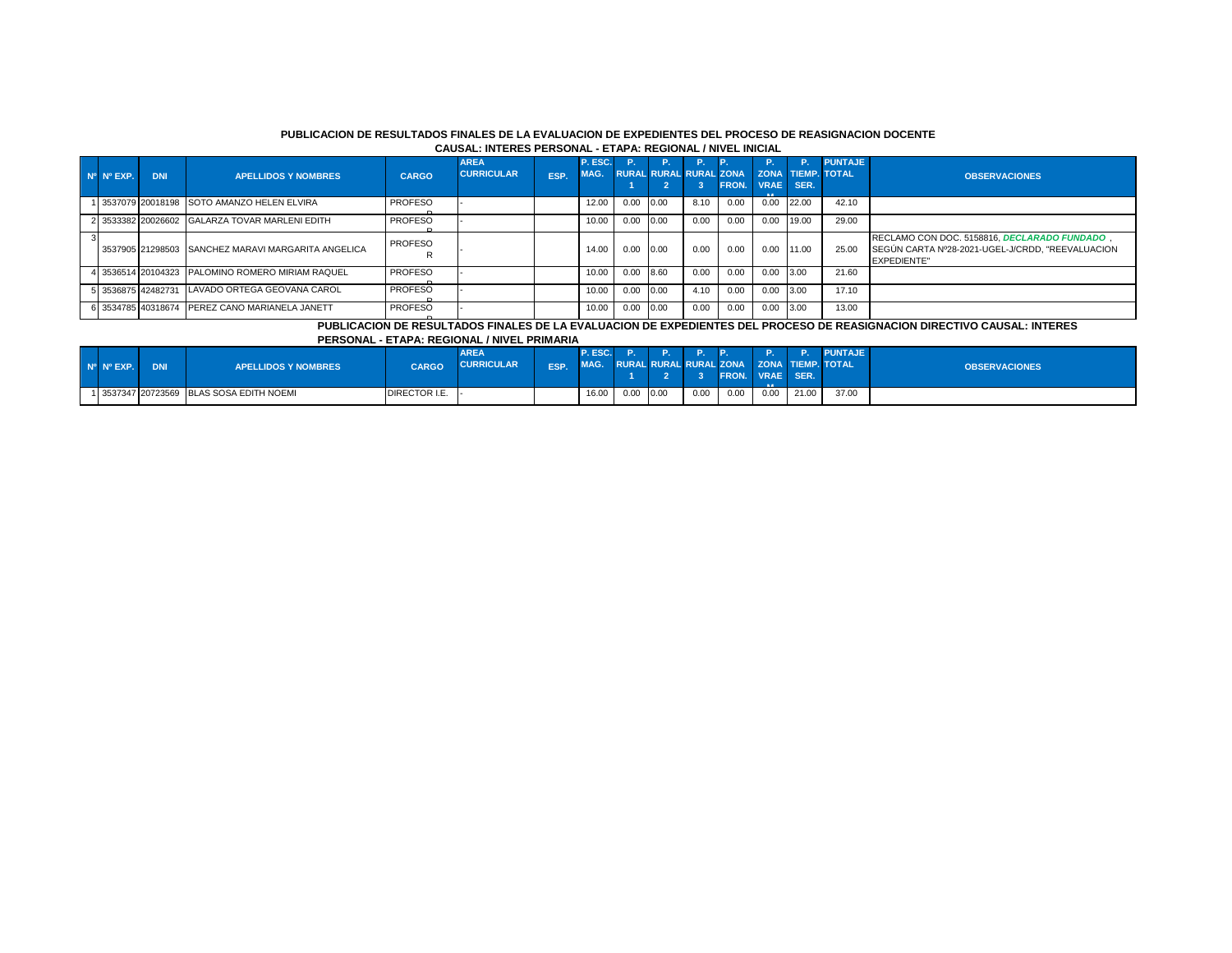#### **PUBLICACION DE RESULTADOS FINALES DE LA EVALUACION DE EXPEDIENTES DEL PROCESO DE REASIGNACION DOCENTE CAUSAL: INTERES PERSONAL - ETAPA: REGIONAL / NIVEL INICIAL**

| Nº Nº EXP. | <b>DNI</b> | <b>APELLIDOS Y NOMBRES</b>                         | <b>CARGO</b>        | <b>AREA</b><br><b>CURRICULAR</b> | ESP. | P. ESC.<br>MAG. | -P.  |      |      |      | <b>RURAL RURAL RURAL ZONA   ZONA TIEMP, TOTAL</b> | <b>P.</b> | <b>PUNTAJE</b> | <b>OBSERVACIONES</b>                                                                                                   |
|------------|------------|----------------------------------------------------|---------------------|----------------------------------|------|-----------------|------|------|------|------|---------------------------------------------------|-----------|----------------|------------------------------------------------------------------------------------------------------------------------|
|            |            |                                                    |                     |                                  |      |                 |      |      |      |      | FRON. VRAE SER.                                   |           |                |                                                                                                                        |
|            |            | 1 3537079 20018198 SOTO AMANZO HELEN ELVIRA        | <b>PROFESO</b>      |                                  |      | 12.00           | 0.00 | 0.00 | 8.10 | 0.00 | $0.00$ 22.00                                      |           | 42.10          |                                                                                                                        |
|            |            | 2 3533382 20026602 GALARZA TOVAR MARLENI EDITH     | <b>PROFESO</b>      |                                  |      | 10.00           | 0.00 | 0.00 | 0.00 | 0.00 | 0.00                                              | 19.00     | 29.00          |                                                                                                                        |
|            |            | 3537905 21298503 SANCHEZ MARAVI MARGARITA ANGELICA | <b>PROFESO</b><br>R |                                  |      | 14.00           | 0.00 | 0.00 | 0.00 | 0.00 | 0.00 11.00                                        |           | 25.00          | RECLAMO CON DOC. 5158816. DECLARADO FUNDADO.<br>SEGÚN CARTA Nº28-2021-UGEL-J/CRDD, "REEVALUACION<br><b>EXPEDIENTE"</b> |
|            |            | 4 3536514 20104323 PALOMINO ROMERO MIRIAM RAQUEL   | <b>PROFESO</b>      |                                  |      | 10.00           | 0.00 | 8.60 | 0.00 | 0.00 | 0.00                                              | 13.00     | 21.60          |                                                                                                                        |
|            |            | 5 3536875 42482731 LAVADO ORTEGA GEOVANA CAROL     | <b>PROFESO</b>      |                                  |      | 10.00           | 0.00 | 0.00 | 4.10 | 0.00 | 0.00                                              | 13.00     | 17.10          |                                                                                                                        |
|            |            | 6 3534785 40318674 PEREZ CANO MARIANELA JANETT     | <b>PROFESO</b>      |                                  |      | 10.00           | 0.00 | 0.00 | 0.00 | 0.00 | 0.00                                              | 3.00      | 13.00          |                                                                                                                        |

R **PUBLICACION DE RESULTADOS FINALES DE LA EVALUACION DE EXPEDIENTES DEL PROCESO DE REASIGNACION DIRECTIVO CAUSAL: INTERES** 

**PERSONAL - ETAPA: REGIONAL / NIVEL PRIMARIA**

| $N^{\circ}$ $N^{\circ}$ EXP. | <b>DNI</b> | <b>APELLIDOS Y NOMBRES</b>               | <b>CARGO</b>  | <b>AREA</b><br><b>CURRICULAR</b> | ESP. | P. ESC.<br>MAG. |      | RURAL RURAL RURAL ZONA ZONA TIEMP. TOTAL |      | <b>ID</b><br><b>FRON. VRAE SER.</b> | NP. D |       | <b>P.</b> PUNTAJE | <b>OBSERVACIONES</b> |
|------------------------------|------------|------------------------------------------|---------------|----------------------------------|------|-----------------|------|------------------------------------------|------|-------------------------------------|-------|-------|-------------------|----------------------|
|                              |            | 1 3537347 20723569 BLAS SOSA EDITH NOEMI | DIRECTOR I.E. |                                  |      | 16.00           | 0.00 | 0.00                                     | 0.00 | 0.00                                | 0.00  | 21.00 | 37.00             |                      |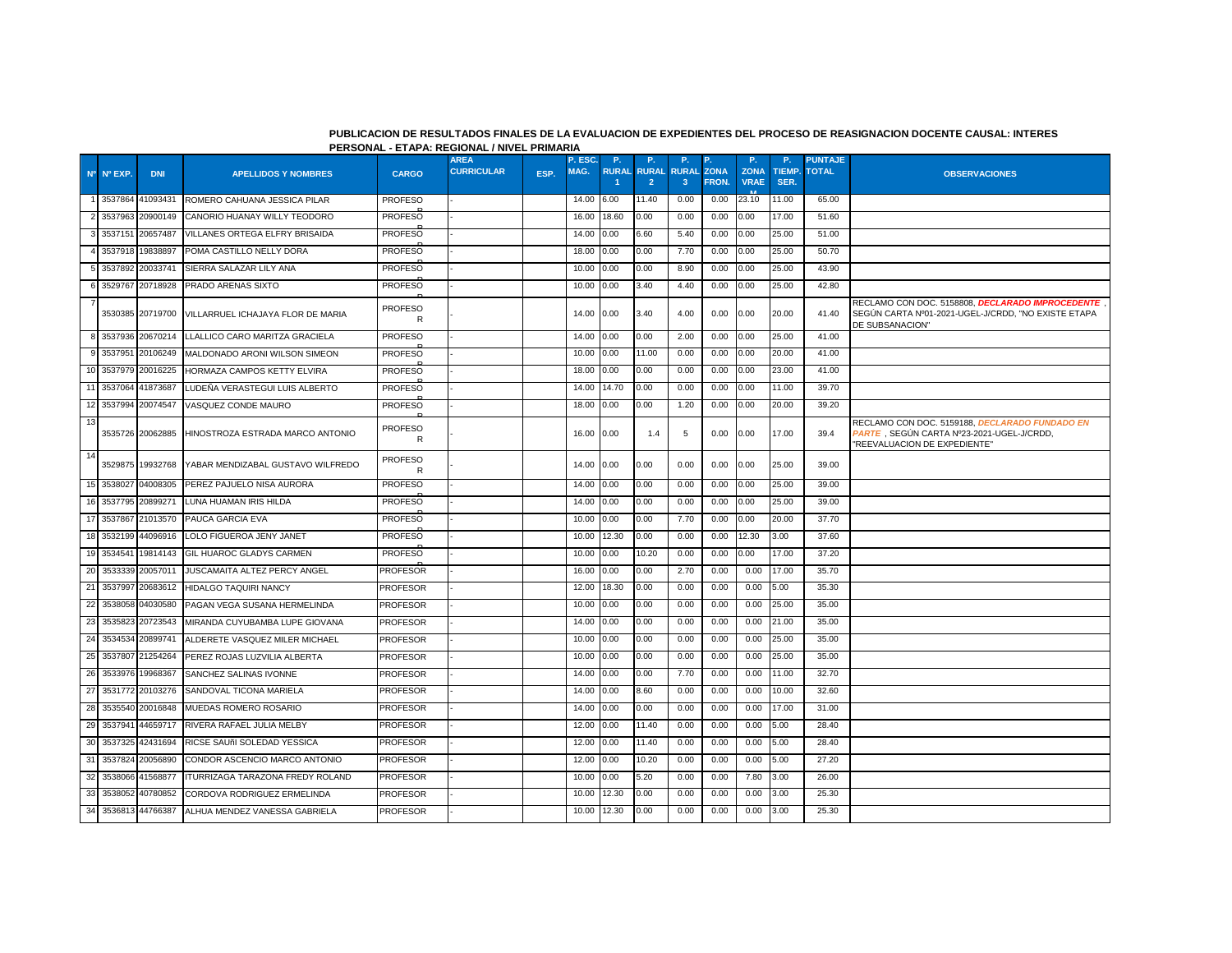### **PUBLICACION DE RESULTADOS FINALES DE LA EVALUACION DE EXPEDIENTES DEL PROCESO DE REASIGNACION DOCENTE CAUSAL: INTERES PERSONAL - ETAPA: REGIONAL / NIVEL PRIMARIA**

|    |            |                  |                                                    |                     | <b>AREA</b>       |      | P. ESC. | <b>P.</b>          | P.             | P.                           | Р.                   | <b>P.</b>                  | P.             | <b>PUNTAJE</b> |                                                                                                                             |
|----|------------|------------------|----------------------------------------------------|---------------------|-------------------|------|---------|--------------------|----------------|------------------------------|----------------------|----------------------------|----------------|----------------|-----------------------------------------------------------------------------------------------------------------------------|
|    | Nº Nº EXP. | <b>DNI</b>       | <b>APELLIDOS Y NOMBRES</b>                         | <b>CARGO</b>        | <b>CURRICULAR</b> | ESP. | MAG.    | <b>RURAL RURAL</b> | $\overline{2}$ | <b>RURAL</b><br>$\mathbf{3}$ | <b>ZONA</b><br>FRON. | <b>ZONA</b><br><b>VRAE</b> | TIEMP.<br>SER. | <b>TOTAL</b>   | <b>OBSERVACIONES</b>                                                                                                        |
|    |            | 3537864 41093431 | ROMERO CAHUANA JESSICA PILAR                       | <b>PROFESO</b>      |                   |      | 14.00   | 6.00               | 11.40          | 0.00                         | 0.00                 | 23.10                      | 11.00          | 65.00          |                                                                                                                             |
|    | 3537963    | 20900149         | CANORIO HUANAY WILLY TEODORO                       | <b>PROFESO</b>      |                   |      | 16.00   | 18.60              | 0.00           | 0.00                         | 0.00                 | 0.00                       | 17.00          | 51.60          |                                                                                                                             |
|    | 3537151    | 20657487         | VILLANES ORTEGA ELFRY BRISAIDA                     | <b>PROFESO</b>      |                   |      | 14.00   | 0.00               | 6.60           | 5.40                         | 0.00                 | 0.00                       | 25.00          | 51.00          |                                                                                                                             |
|    |            | 3537918 19838897 | POMA CASTILLO NELLY DORA                           | <b>PROFESO</b>      |                   |      | 18.00   | 0.00               | 0.00           | 7.70                         | 0.00                 | 0.00                       | 25.00          | 50.70          |                                                                                                                             |
|    | 3537892    | 20033741         | SIERRA SALAZAR LILY ANA                            | <b>PROFESO</b>      |                   |      | 10.00   | 0.00               | 0.00           | 8.90                         | 0.00                 | 0.00                       | 25.00          | 43.90          |                                                                                                                             |
|    |            | 3529767 20718928 | PRADO ARENAS SIXTO                                 | PROFESO             |                   |      | 10.00   | 0.00               | 3.40           | 4.40                         | 0.00                 | 0.00                       | 25.00          | 42.80          |                                                                                                                             |
|    |            |                  | 3530385 20719700 VILLARRUEL ICHAJAYA FLOR DE MARIA | <b>PROFESO</b><br>R |                   |      | 14.00   | 0.00               | 3.40           | 4.00                         | 0.00                 | 0.00                       | 20.00          | 41.40          | RECLAMO CON DOC. 5158808. DECLARADO IMPROCEDENTE<br>SEGÚN CARTA Nº01-2021-UGEL-J/CRDD, "NO EXISTE ETAPA<br>DE SUBSANACION"  |
|    |            | 3537936 20670214 | LLALLICO CARO MARITZA GRACIELA                     | <b>PROFESO</b>      |                   |      | 14.00   | 0.00               | 0.00           | 2.00                         | 0.00                 | 0.00                       | 25.00          | 41.00          |                                                                                                                             |
|    | 3537951    | 20106249         | MALDONADO ARONI WILSON SIMEON                      | <b>PROFESO</b>      |                   |      | 10.00   | 0.00               | 11.00          | 0.00                         | 0.00                 | 0.00                       | 20.00          | 41.00          |                                                                                                                             |
|    |            | 3537979 20016225 | HORMAZA CAMPOS KETTY ELVIRA                        | <b>PROFESO</b>      |                   |      | 18.00   | 0.00               | 0.00           | 0.00                         | 0.00                 | 0.00                       | 23.00          | 41.00          |                                                                                                                             |
| 11 | 3537064    | 41873687         | LUDEÑA VERASTEGUI LUIS ALBERTO                     | <b>PROFESO</b>      |                   |      | 14.00   | 14.70              | 0.00           | 0.00                         | 0.00                 | 0.00                       | 11.00          | 39.70          |                                                                                                                             |
| 12 |            | 3537994 20074547 | VASQUEZ CONDE MAURO                                | <b>PROFESO</b>      |                   |      | 18.00   | 0.00               | 0.00           | 1.20                         | 0.00                 | 0.00                       | 20.00          | 39.20          |                                                                                                                             |
| 13 |            | 3535726 20062885 | HINOSTROZA ESTRADA MARCO ANTONIO                   | <b>PROFESO</b><br>R |                   |      | 16.00   | 0.00               | 1.4            | 5                            | 0.00                 | 0.00                       | 17.00          | 39.4           | RECLAMO CON DOC. 5159188, DECLARADO FUNDADO EN<br>PARTE, SEGÚN CARTA Nº23-2021-UGEL-J/CRDD,<br>"REEVALUACION DE EXPEDIENTE" |
| 14 |            | 3529875 19932768 | YABAR MENDIZABAL GUSTAVO WILFREDO                  | PROFESO<br>R        |                   |      | 14.00   | 0.00               | 0.00           | 0.00                         | 0.00                 | 0.00                       | 25.00          | 39.00          |                                                                                                                             |
| 15 | 3538027    | 04008305         | PEREZ PAJUELO NISA AURORA                          | PROFESO             |                   |      | 14.00   | 0.00               | 0.00           | 0.00                         | 0.00                 | 0.00                       | 25.00          | 39.00          |                                                                                                                             |
| 16 |            | 3537795 20899271 | LUNA HUAMAN IRIS HILDA                             | <b>PROFESO</b>      |                   |      | 14.00   | 0.00               | 0.00           | 0.00                         | 0.00                 | 0.00                       | 25.00          | 39.00          |                                                                                                                             |
| 17 | 3537867    | 21013570         | PAUCA GARCIA EVA                                   | <b>PROFESO</b>      |                   |      | 10.00   | 0.00               | 0.00           | 7.70                         | 0.00                 | 0.00                       | 20.00          | 37.70          |                                                                                                                             |
| 18 |            | 3532199 44096916 | LOLO FIGUEROA JENY JANET                           | <b>PROFESO</b>      |                   |      | 10.00   | 12.30              | 0.00           | 0.00                         | 0.00                 | 12.30                      | 3.00           | 37.60          |                                                                                                                             |
| 19 | 3534541    | 19814143         | <b>GIL HUAROC GLADYS CARMEN</b>                    | <b>PROFESO</b>      |                   |      | 10.00   | 0.00               | 10.20          | 0.00                         | 0.00                 | 0.00                       | 17.00          | 37.20          |                                                                                                                             |
| 20 | 3533339    | 20057011         | JUSCAMAITA ALTEZ PERCY ANGEL                       | <b>PROFESOR</b>     |                   |      | 16.00   | 0.00               | 0.00           | 2.70                         | 0.00                 | 0.00                       | 17.00          | 35.70          |                                                                                                                             |
| 21 | 3537997    | 20683612         | <b>HIDALGO TAQUIRI NANCY</b>                       | <b>PROFESOR</b>     |                   |      | 12.00   | 18.30              | 0.00           | 0.00                         | 0.00                 | 0.00                       | 5.00           | 35.30          |                                                                                                                             |
| 22 | 3538058    | 04030580         | PAGAN VEGA SUSANA HERMELINDA                       | <b>PROFESOR</b>     |                   |      | 10.00   | 0.00               | 0.00           | 0.00                         | 0.00                 | 0.00                       | 25.00          | 35.00          |                                                                                                                             |
| 23 | 3535823    | 20723543         | MIRANDA CUYUBAMBA LUPE GIOVANA                     | <b>PROFESOR</b>     |                   |      | 14.00   | 0.00               | 0.00           | 0.00                         | 0.00                 | 0.00                       | 21.00          | 35.00          |                                                                                                                             |
| 24 |            | 3534534 20899741 | ALDERETE VASQUEZ MILER MICHAEL                     | <b>PROFESOR</b>     |                   |      | 10.00   | 0.00               | 0.00           | 0.00                         | 0.00                 | 0.00                       | 25.00          | 35.00          |                                                                                                                             |
| 25 | 3537807    | 21254264         | PEREZ ROJAS LUZVILIA ALBERTA                       | <b>PROFESOR</b>     |                   |      | 10.00   | 0.00               | 0.00           | 0.00                         | 0.00                 | 0.00                       | 25.00          | 35.00          |                                                                                                                             |
| 26 | 3533976    | 19968367         | SANCHEZ SALINAS IVONNE                             | <b>PROFESOR</b>     |                   |      | 14.00   | 0.00               | 0.00           | 7.70                         | 0.00                 | 0.00                       | 11.00          | 32.70          |                                                                                                                             |
| 27 |            | 3531772 20103276 | SANDOVAL TICONA MARIELA                            | PROFESOR            |                   |      | 14.00   | 0.00               | 8.60           | 0.00                         | 0.00                 | 0.00                       | 10.00          | 32.60          |                                                                                                                             |
| 28 | 3535540    | 20016848         | MUEDAS ROMERO ROSARIO                              | PROFESOR            |                   |      | 14.00   | 0.00               | 0.00           | 0.00                         | 0.00                 | 0.00                       | 17.00          | 31.00          |                                                                                                                             |
| 29 | 3537941    | 44659717         | RIVERA RAFAEL JULIA MELBY                          | <b>PROFESOR</b>     |                   |      | 12.00   | 0.00               | 11.40          | 0.00                         | 0.00                 | 0.00                       | 5.00           | 28.40          |                                                                                                                             |
| 30 | 3537325    | 42431694         | RICSE SAUñI SOLEDAD YESSICA                        | <b>PROFESOR</b>     |                   |      | 12.00   | 0.00               | 11.40          | 0.00                         | 0.00                 | 0.00                       | 5.00           | 28.40          |                                                                                                                             |
| 31 | 3537824    | 20056890         | CONDOR ASCENCIO MARCO ANTONIO                      | <b>PROFESOR</b>     |                   |      | 12.00   | 0.00               | 10.20          | 0.00                         | 0.00                 | 0.00                       | 5.00           | 27.20          |                                                                                                                             |
| 32 | 3538066    | 41568877         | ITURRIZAGA TARAZONA FREDY ROLAND                   | <b>PROFESOR</b>     |                   |      | 10.00   | 0.00               | 5.20           | 0.00                         | 0.00                 | 7.80                       | 3.00           | 26.00          |                                                                                                                             |
| 33 | 3538052    | 40780852         | CORDOVA RODRIGUEZ ERMELINDA                        | <b>PROFESOR</b>     |                   |      | 10.00   | 12.30              | 0.00           | 0.00                         | 0.00                 | 0.00                       | 3.00           | 25.30          |                                                                                                                             |
| 34 |            | 3536813 44766387 | ALHUA MENDEZ VANESSA GABRIELA                      | <b>PROFESOR</b>     |                   |      | 10.00   | 12.30              | 0.00           | 0.00                         | 0.00                 | 0.00                       | 3.00           | 25.30          |                                                                                                                             |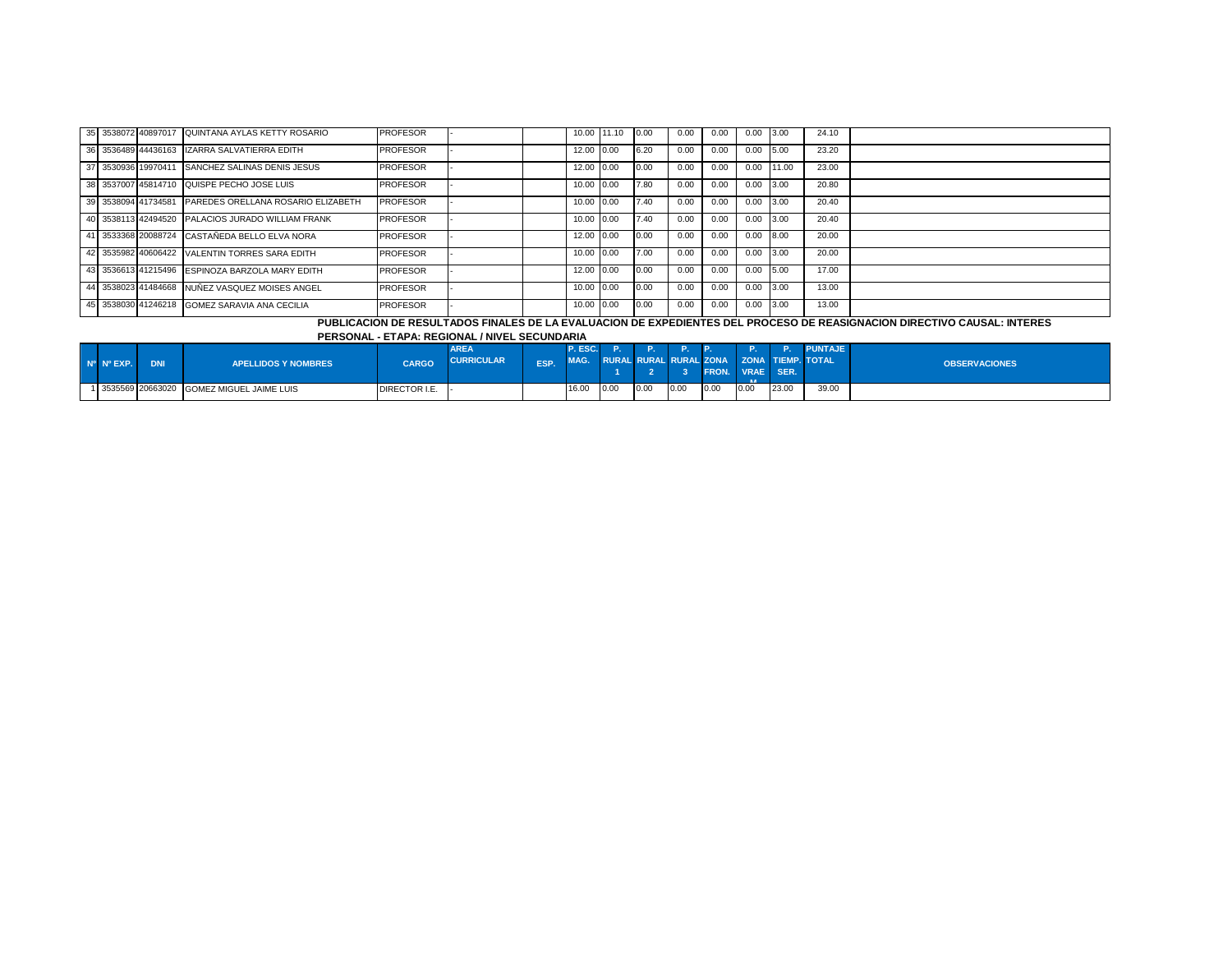|  | 35 3538072 40897017 QUINTANA AYLAS KETTY ROSARIO       | <b>PROFESOR</b> |  |            | 10.00 11.10 0.00 |      | 0.00 | 0.00 | 0.00 | 13.00 | 24.10 |  |
|--|--------------------------------------------------------|-----------------|--|------------|------------------|------|------|------|------|-------|-------|--|
|  | 36 3536489 44436163 ZARRA SALVATIERRA EDITH            | <b>PROFESOR</b> |  | 12.00 0.00 |                  | 6.20 | 0.00 | 0.00 | 0.00 | 5.00  | 23.20 |  |
|  | 37 3530936 19970411 SANCHEZ SALINAS DENIS JESUS        | <b>PROFESOR</b> |  | 12.00 0.00 |                  | 0.00 | 0.00 | 0.00 | 0.00 | 11.00 | 23.00 |  |
|  | 38 3537007 45814710 QUISPE PECHO JOSE LUIS             | <b>PROFESOR</b> |  | 10.00 0.00 |                  | 7.80 | 0.00 | 0.00 | 0.00 | 3.00  | 20.80 |  |
|  | 39 3538094 41734581 PAREDES ORELLANA ROSARIO ELIZABETH | <b>PROFESOR</b> |  | 10.00 0.00 |                  | 7.40 | 0.00 | 0.00 | 0.00 | 3.00  | 20.40 |  |
|  | 40 3538113 42494520 PALACIOS JURADO WILLIAM FRANK      | <b>PROFESOR</b> |  | 10.00 0.00 |                  | 7.40 | 0.00 | 0.00 | 0.00 | 3.00  | 20.40 |  |
|  | 41 3533368 20088724 CASTAÑEDA BELLO ELVA NORA          | <b>PROFESOR</b> |  | 12.00 0.00 |                  | 0.00 | 0.00 | 0.00 | 0.00 | 8.00  | 20.00 |  |
|  | 42 3535982 40606422 VALENTIN TORRES SARA EDITH         | <b>PROFESOR</b> |  | 10.00 0.00 |                  | 7.00 | 0.00 | 0.00 | 0.00 | 3.00  | 20.00 |  |
|  | 43 3536613 41215496 ESPINOZA BARZOLA MARY EDITH        | <b>PROFESOR</b> |  | 12.00 0.00 |                  | 0.00 | 0.00 | 0.00 | 0.00 | 5.00  | 17.00 |  |
|  | 44 3538023 41484668 NUÑEZ VASQUEZ MOISES ANGEL         | <b>PROFESOR</b> |  | 10.00 0.00 |                  | 0.00 | 0.00 | 0.00 | 0.00 | 3.00  | 13.00 |  |
|  | 45 3538030 41246218 GOMEZ SARAVIA ANA CECILIA          | <b>PROFESOR</b> |  | 10.00 0.00 |                  | 0.00 | 0.00 | 0.00 | 0.00 | 3.00  | 13.00 |  |

# **PUBLICACION DE RESULTADOS FINALES DE LA EVALUACION DE EXPEDIENTES DEL PROCESO DE REASIGNACION DIRECTIVO CAUSAL: INTERES**

## **PERSONAL - ETAPA: REGIONAL / NIVEL SECUNDARIA**

| $N^{\circ}$ $N^{\circ}$ EXP. | <b>DNI</b>         | <b>APELLIDOS Y NOMBRES</b> | CARGO         | <b>AREA</b><br><b>CURRICULAR</b> | ESP. | P. ESC.<br>MAG. |      |      |      | RURAL RURAL RURAL ZONA ZONA TIEMP. TOTAL<br><b>FRON.</b> | VRAE SER.<br><b>STATISTICS</b> |       | PUNTAJE | <b>OBSERVACIONES</b> |
|------------------------------|--------------------|----------------------------|---------------|----------------------------------|------|-----------------|------|------|------|----------------------------------------------------------|--------------------------------|-------|---------|----------------------|
|                              | 1 3535569 20663020 | GOMEZ MIGUEL JAIME LUIS    | DIRECTOR I.E. |                                  |      | 16.00           | 0.00 | 0.00 | 0.00 | 0.00                                                     | 0.00                           | 23.00 | 39.00   |                      |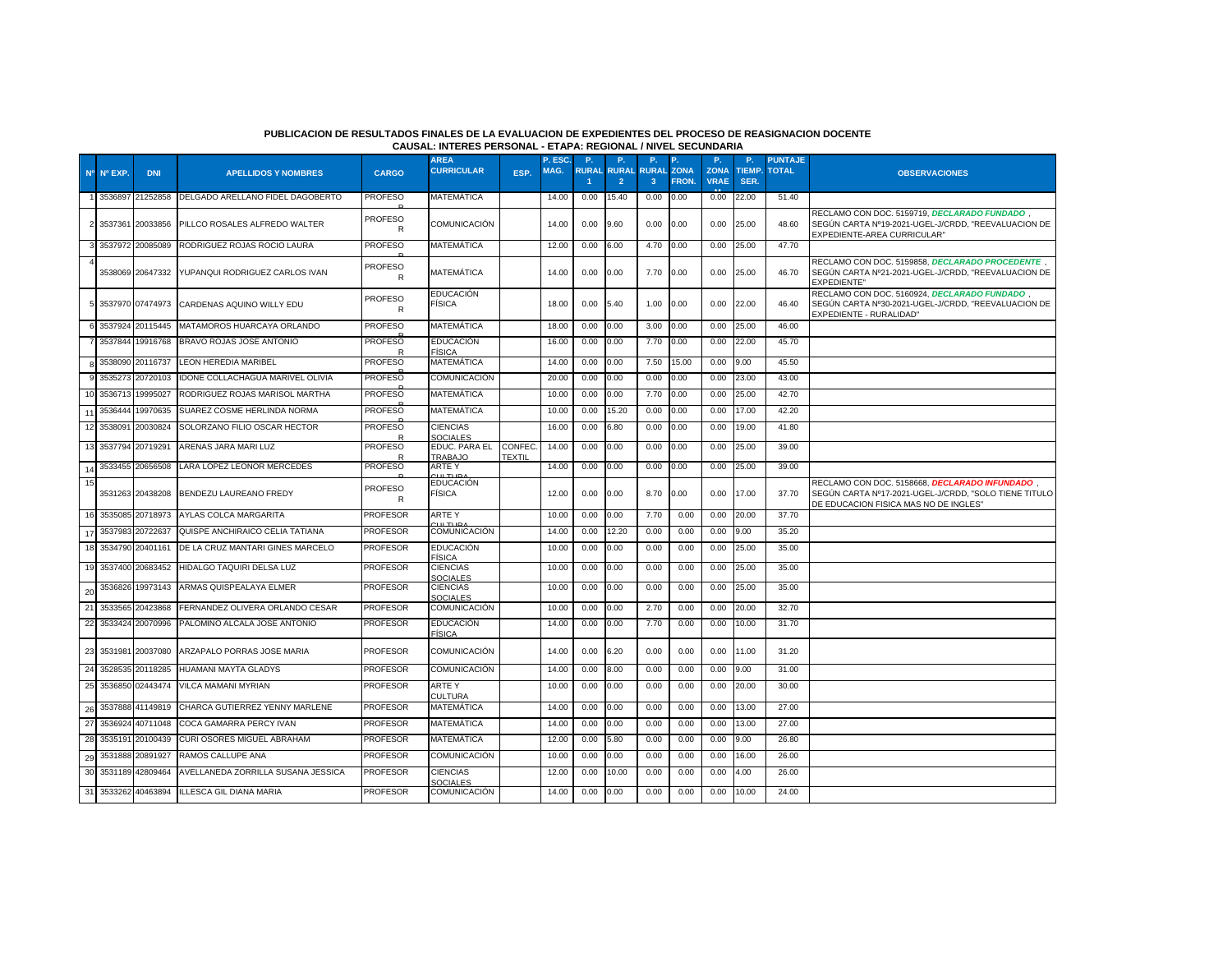#### **PUBLICACION DE RESULTADOS FINALES DE LA EVALUACION DE EXPEDIENTES DEL PROCESO DE REASIGNACION DOCENTE CAUSAL: INTERES PERSONAL - ETAPA: REGIONAL / NIVEL SECUNDARIA**

|    | Nº Nº EXP. | <b>DNI</b>       | <b>APELLIDOS Y NOMBRES</b>         | CARGO               | <b>AREA</b><br><b>CURRICULAR</b>             | ESP.             | P. ESC.<br>MAG. | P.<br><b>RURAL</b> | <b>P.</b><br><b>RURAL</b> | <b>P.</b><br><b>RURAL ZONA</b> | P.           | <b>P.</b><br><b>ZONA</b> | P.<br><b>TIEMP</b> | <b>PUNTAJE</b><br><b>TOTAL</b> | <b>OBSERVACIONES</b>                                                                                                                             |
|----|------------|------------------|------------------------------------|---------------------|----------------------------------------------|------------------|-----------------|--------------------|---------------------------|--------------------------------|--------------|--------------------------|--------------------|--------------------------------|--------------------------------------------------------------------------------------------------------------------------------------------------|
|    |            |                  |                                    |                     |                                              |                  |                 |                    | $\overline{2}$            | $\mathbf{3}$                   | <b>FRON.</b> | <b>VRAE</b>              | SER.               |                                |                                                                                                                                                  |
|    | 3536897    | 21252858         | DELGADO ARELLANO FIDEL DAGOBERTO   | <b>PROFESO</b>      | MATEMÁTICA                                   |                  | 14.00           | 0.00               | 15.40                     | 0.00                           | 0.00         | 0.00                     | 22.00              | 51.40                          |                                                                                                                                                  |
|    | 2 3537361  | 20033856         | PILLCO ROSALES ALFREDO WALTER      | <b>PROFESO</b><br>R | COMUNICACION                                 |                  | 14.00           | 0.00               | 9.60                      | 0.00                           | 0.00         | 0.00                     | 25.00              | 48.60                          | RECLAMO CON DOC. 5159719, DECLARADO FUNDADO,<br>SEGÚN CARTA Nº19-2021-UGEL-J/CRDD, "REEVALUACION DE<br>EXPEDIENTE-AREA CURRICULAR"               |
|    |            | 3537972 20085089 | RODRIGUEZ ROJAS ROCIO LAURA        | <b>PROFESO</b>      | MATEMÁTICA                                   |                  | 12.00           | 0.00               | 6.00                      | 4.70                           | 0.00         | 0.00                     | 25.00              | 47.70                          |                                                                                                                                                  |
|    |            | 3538069 20647332 | YUPANQUI RODRIGUEZ CARLOS IVAN     | <b>PROFESO</b><br>R | MATEMÁTICA                                   |                  | 14.00           | 0.00               | 0.00                      | 7.70                           | 0.00         | 0.00                     | 25.00              | 46.70                          | RECLAMO CON DOC. 5159858, DECLARADO PROCEDENTE,<br>SEGÚN CARTA Nº21-2021-UGEL-J/CRDD, "REEVALUACION DE<br><b>EXPEDIENTE"</b>                     |
|    |            | 3537970 07474973 | CARDENAS AQUINO WILLY EDU          | <b>PROFESO</b><br>R | <b>EDUCACIÓN</b><br><b>FÍSICA</b>            |                  | 18.00           | 0.00               | 5.40                      | 1.00                           | 0.00         | 0.00                     | 22.00              | 46.40                          | RECLAMO CON DOC. 5160924, DECLARADO FUNDADO,<br>SEGÚN CARTA Nº30-2021-UGEL-J/CRDD, "REEVALUACION DE<br>EXPEDIENTE - RURALIDAD"                   |
|    |            | 3537924 20115445 | MATAMOROS HUARCAYA ORLANDO         | <b>PROFESO</b>      | MATEMÁTICA                                   |                  | 18.00           | 0.00               | 0.00                      | 3.00                           | 0.00         | 0.00                     | 25.00              | 46.00                          |                                                                                                                                                  |
|    | 3537844    | 19916768         | BRAVO ROJAS JOSE ANTONIO           | <b>PROFESO</b>      | <b>EDUCACIÓN</b><br>FÍSICA                   |                  | 16.00           | 0.00               | 0.00                      | 7.70                           | 0.00         | 0.00                     | 22.00              | 45.70                          |                                                                                                                                                  |
|    |            | 3538090 20116737 | <b>LEON HEREDIA MARIBEL</b>        | <b>PROFESO</b>      | MATEMÁTICA                                   |                  | 14.00           | 0.00               | 0.00                      | 7.50                           | 15.00        | 0.00                     | 9.00               | 45.50                          |                                                                                                                                                  |
|    | 3535273    | 20720103         | IDONE COLLACHAGUA MARIVEL OLIVIA   | <b>PROFESO</b>      | COMUNICACIÓN                                 |                  | 20.00           | 0.00               | 0.00                      | 0.00                           | 0.00         | 0.00                     | 23.00              | 43.00                          |                                                                                                                                                  |
|    | 3536713    | 19995027         | RODRIGUEZ ROJAS MARISOL MARTHA     | <b>PROFESO</b>      | MATEMÁTICA                                   |                  | 10.00           | 0.00               | 0.00                      | 7.70                           | 0.00         | 0.00                     | 25.00              | 42.70                          |                                                                                                                                                  |
|    | 3536444    | 19970635         | SUAREZ COSME HERLINDA NORMA        | <b>PROFESO</b>      | <b>MATEMÁTICA</b>                            |                  | 10.00           | 0.00               | 15.20                     | 0.00                           | 0.00         | 0.00                     | 17.00              | 42.20                          |                                                                                                                                                  |
| 12 | 3538091    | 20030824         | SOLORZANO FILIO OSCAR HECTOR       | <b>PROFESO</b>      | <b>CIENCIAS</b><br>SOCIALES                  |                  | 16.00           | 0.00               | 6.80                      | 0.00                           | 0.00         | 0.00                     | 19.00              | 41.80                          |                                                                                                                                                  |
| 13 | 3537794    | 20719291         | ARENAS JARA MARI LUZ               | <b>PROFESO</b>      | EDUC. PARA EL<br><b><i>TRABAJO</i></b>       | CONFEC<br>TEXTIL | 14.00           | 0.00               | 0.00                      | 0.00                           | 0.00         | 0.00                     | 25.00              | 39.00                          |                                                                                                                                                  |
|    | 3533455    | 20656508         | LARA LOPEZ LEONOR MERCEDES         | <b>PROFESO</b>      | ARTE Y                                       |                  | 14.00           | 0.00               | 0.00                      | 0.00                           | 0.00         | 0.00                     | 25.00              | 39.00                          |                                                                                                                                                  |
| 15 | 3531263    | 20438208         | BENDEZU LAUREANO FREDY             | <b>PROFESO</b><br>R | סוודווו<br><b>EDUCACIÓN</b><br><b>FÍSICA</b> |                  | 12.00           | 0.00               | 0.00                      | 8.70                           | 0.00         | 0.00                     | 17.00              | 37.70                          | RECLAMO CON DOC. 5158668, DECLARADO INFUNDADO,<br>SEGÚN CARTA Nº17-2021-UGEL-J/CRDD, "SOLO TIENE TITULO<br>DE EDUCACION FISICA MAS NO DE INGLES" |
| 16 | 3535085    | 20718973         | AYLAS COLCA MARGARITA              | <b>PROFESOR</b>     | <b>ARTEY</b><br>11 T107                      |                  | 10.00           | 0.00               | 0.00                      | 7.70                           | 0.00         | 0.00                     | 20.00              | 37.70                          |                                                                                                                                                  |
| 17 | 3537983    | 20722637         | QUISPE ANCHIRAICO CELIA TATIANA    | <b>PROFESOR</b>     | COMUNICACIÓN                                 |                  | 14.00           | 0.00               | 12.20                     | 0.00                           | 0.00         | 0.00                     | 9.00               | 35.20                          |                                                                                                                                                  |
| 18 | 3534790    | 20401161         | DE LA CRUZ MANTARI GINES MARCELO   | <b>PROFESOR</b>     | <b>EDUCACIÓN</b><br><b>FÍSICA</b>            |                  | 10.00           | 0.00               | 0.00                      | 0.00                           | 0.00         | 0.00                     | 25.00              | 35.00                          |                                                                                                                                                  |
| 19 | 3537400    | 20683452         | HIDALGO TAQUIRI DELSA LUZ          | <b>PROFESOR</b>     | <b>CIENCIAS</b><br><b>SOCIALES</b>           |                  | 10.00           | 0.00               | 0.00                      | 0.00                           | 0.00         | 0.00                     | 25.00              | 35.00                          |                                                                                                                                                  |
| 20 | 3536826    | 19973143         | ARMAS QUISPEALAYA ELMER            | <b>PROFESOR</b>     | <b>CIENCIAS</b><br><b>SOCIALES</b>           |                  | 10.00           | 0.00               | 0.00                      | 0.00                           | 0.00         | 0.00                     | 25.00              | 35.00                          |                                                                                                                                                  |
| 21 | 3533565    | 20423868         | FERNANDEZ OLIVERA ORLANDO CESAR    | <b>PROFESOR</b>     | COMUNICACIÓN                                 |                  | 10.00           | 0.00               | 0.00                      | 2.70                           | 0.00         | 0.00                     | 20.00              | 32.70                          |                                                                                                                                                  |
| 22 | 3533424    | 20070996         | PALOMINO ALCALA JOSE ANTONIO       | <b>PROFESOR</b>     | <b>EDUCACIÓN</b><br><b>FÍSICA</b>            |                  | 14.00           | 0.00               | 0.00                      | 7.70                           | 0.00         | 0.00                     | 10.00              | 31.70                          |                                                                                                                                                  |
| 23 | 3531981    | 20037080         | ARZAPALO PORRAS JOSE MARIA         | <b>PROFESOR</b>     | <b>COMUNICACIÓN</b>                          |                  | 14.00           | 0.00               | 6.20                      | 0.00                           | 0.00         | 0.00                     | 11.00              | 31.20                          |                                                                                                                                                  |
| 24 | 3528535    | 20118285         | <b>HUAMANI MAYTA GLADYS</b>        | <b>PROFESOR</b>     | COMUNICACIÓN                                 |                  | 14.00           | 0.00               | 8.00                      | 0.00                           | 0.00         | 0.00                     | 9.00               | 31.00                          |                                                                                                                                                  |
| 25 | 3536850    | 02443474         | VILCA MAMANI MYRIAN                | <b>PROFESOR</b>     | ARTE Y<br><b>CULTURA</b>                     |                  | 10.00           | 0.00               | 0.00                      | 0.00                           | 0.00         | 0.00                     | 20.00              | 30.00                          |                                                                                                                                                  |
| 26 | 3537888    | 41149819         | CHARCA GUTIERREZ YENNY MARLENE     | <b>PROFESOR</b>     | MATEMÁTICA                                   |                  | 14.00           | 0.00               | 0.00                      | 0.00                           | 0.00         | 0.00                     | 13.00              | 27.00                          |                                                                                                                                                  |
| 27 | 3536924    | 40711048         | COCA GAMARRA PERCY IVAN            | <b>PROFESOR</b>     | <b>MATEMÁTICA</b>                            |                  | 14.00           | 0.00               | 0.00                      | 0.00                           | 0.00         | 0.00                     | 13.00              | 27.00                          |                                                                                                                                                  |
| 28 | 3535191    | 20100439         | CURI OSORES MIGUEL ABRAHAM         | <b>PROFESOR</b>     | <b>MATEMÁTICA</b>                            |                  | 12.00           | 0.00               | 5.80                      | 0.00                           | 0.00         | 0.00                     | 9.00               | 26.80                          |                                                                                                                                                  |
| 29 | 3531888    | 20891927         | RAMOS CALLUPE ANA                  | <b>PROFESOR</b>     | COMUNICACIÓN                                 |                  | 10.00           | 0.00               | 0.00                      | 0.00                           | 0.00         | 0.00                     | 16.00              | 26.00                          |                                                                                                                                                  |
| 30 | 3531189    | 42809464         | AVELLANEDA ZORRILLA SUSANA JESSICA | <b>PROFESOR</b>     | <b>CIENCIAS</b><br><b>SOCIALES</b>           |                  | 12.00           | 0.00               | 10.00                     | 0.00                           | 0.00         | 0.00                     | 4.00               | 26.00                          |                                                                                                                                                  |
| 31 | 3533262    | 40463894         | ILLESCA GIL DIANA MARIA            | <b>PROFESOR</b>     | COMUNICACIÓN                                 |                  | 14.00           | 0.00               | 0.00                      | 0.00                           | 0.00         | 0.00                     | 10.00              | 24.00                          |                                                                                                                                                  |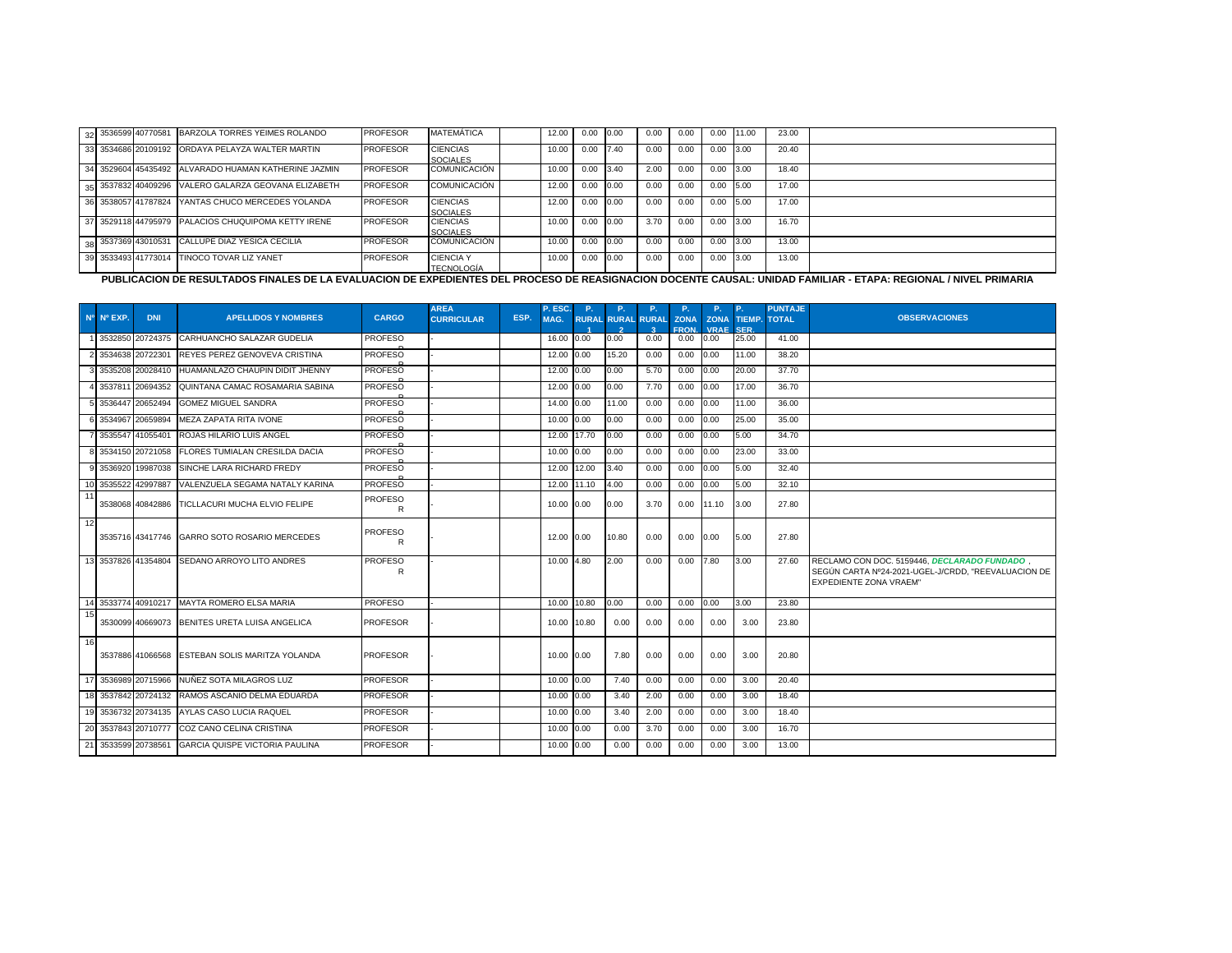|  |                     | 32 3536599 40770581 BARZOLA TORRES YEIMES ROLANDO    | <b>PROFESOR</b> | <b>MATEMÁTICA</b>                     | 12.00 | 0.00 | 0.00 | 0.00 | 0.00 | 0.00 | 11.00 | 23.00 |  |
|--|---------------------|------------------------------------------------------|-----------------|---------------------------------------|-------|------|------|------|------|------|-------|-------|--|
|  |                     | 33 3534686 20109192 ORDAYA PELAYZA WALTER MARTIN     | <b>PROFESOR</b> | <b>CIENCIAS</b><br><b>SOCIALES</b>    | 10.00 | 0.00 | 7.40 | 0.00 | 0.00 | 0.00 | 3.00  | 20.40 |  |
|  |                     | 34 3529604 45435492 ALVARADO HUAMAN KATHERINE JAZMIN | <b>PROFESOR</b> | COMUNICACIÓN                          | 10.00 | 0.00 | 3.40 | 2.00 | 0.00 | 0.00 | 3.00  | 18.40 |  |
|  |                     | 35 3537832 40409296 VALERO GALARZA GEOVANA ELIZABETH | <b>PROFESOR</b> | COMUNICACIÓN                          | 12.00 | 0.00 | 0.00 | 0.00 | 0.00 | 0.00 | 5.00  | 17.00 |  |
|  | 36 3538057 41787824 | YANTAS CHUCO MERCEDES YOLANDA                        | <b>PROFESOR</b> | <b>CIENCIAS</b><br><b>SOCIALES</b>    | 12.00 | 0.00 | 0.00 | 0.00 | 0.00 | 0.00 | 5.00  | 17.00 |  |
|  |                     | 37 3529118 44795979 PALACIOS CHUQUIPOMA KETTY IRENE  | <b>PROFESOR</b> | <b>CIENCIAS</b><br><b>SOCIALES</b>    | 10.00 | 0.00 | 0.00 | 3.70 | 0.00 | 0.00 | 3.00  | 16.70 |  |
|  |                     | 38 3537369 43010531 CALLUPE DIAZ YESICA CECILIA      | <b>PROFESOR</b> | <b>COMUNICACIÓN</b>                   | 10.00 | 0.00 | 0.00 | 0.00 | 0.00 | 0.00 | 3.00  | 13.00 |  |
|  |                     | 39 3533493 41773014 TINOCO TOVAR LIZ YANET           | <b>PROFESOR</b> | <b>CIENCIA Y</b><br><b>TECNOLOGÍA</b> | 10.00 | 0.00 | 0.00 | 0.00 | 0.00 | 0.00 | 3.00  | 13.00 |  |

<u>de la publicacion de Resultados Finales de la evaluacion de expedientes del proceso de reasignacion docente causal: Unidad Familiar - Etapa: Regional / Nivel Primaria<br>Publicacion de resultados Finales de la evaluacion de </u>

|    |            |                     |                                                    |                     | <b>AREA</b>       |      | P. ESC.     | P.    | P.                       | P.   | P.                         | P.                         | <b>P.</b>                   | <b>PUNTAJE</b> |                                                                                                                                      |
|----|------------|---------------------|----------------------------------------------------|---------------------|-------------------|------|-------------|-------|--------------------------|------|----------------------------|----------------------------|-----------------------------|----------------|--------------------------------------------------------------------------------------------------------------------------------------|
|    | Nº Nº EXP. | <b>DNI</b>          | <b>APELLIDOS Y NOMBRES</b>                         | <b>CARGO</b>        | <b>CURRICULAR</b> | ESP. | MAG.        |       | <b>RURAL RURAL RURAL</b> |      | <b>ZONA</b><br><b>FRON</b> | <b>ZONA</b><br><b>VRAF</b> | <b>TIEMP.</b><br><b>SFR</b> | <b>TOTAL</b>   | <b>OBSERVACIONES</b>                                                                                                                 |
|    |            |                     | 1 3532850 20724375 CARHUANCHO SALAZAR GUDELIA      | <b>PROFESO</b>      |                   |      | 16.00 0.00  |       | 0.00                     | 0.00 | 0.00                       | 0.00                       | 25.00                       | 41.00          |                                                                                                                                      |
|    |            | 2 3534638 20722301  | REYES PEREZ GENOVEVA CRISTINA                      | <b>PROFESO</b>      |                   |      | 12.00 0.00  |       | 15.20                    | 0.00 | 0.00                       | 0.00                       | 11.00                       | 38.20          |                                                                                                                                      |
|    |            |                     | 3535208 20028410 HUAMANLAZO CHAUPIN DIDIT JHENNY   | <b>PROFESO</b>      |                   |      | 12.00 0.00  |       | 0.00                     | 5.70 | 0.00                       | 0.00                       | 20.00                       | 37.70          |                                                                                                                                      |
|    |            |                     | 3537811 20694352 QUINTANA CAMAC ROSAMARIA SABINA   | <b>PROFESO</b>      |                   |      | 12.00 0.00  |       | 0.00                     | 7.70 | 0.00                       | 0.00                       | 17.00                       | 36.70          |                                                                                                                                      |
|    |            | 3536447 20652494    | <b>GOMEZ MIGUEL SANDRA</b>                         | <b>PROFESO</b>      |                   |      | 14.00 0.00  |       | 11.00                    | 0.00 | 0.00                       | 0.00                       | 11.00                       | 36.00          |                                                                                                                                      |
|    |            | 3534967 20659894    | <b>MEZA ZAPATA RITA IVONE</b>                      | <b>PROFESO</b>      |                   |      | 10.00 0.00  |       | 0.00                     | 0.00 | 0.00                       | 0.00                       | 25.00                       | 35.00          |                                                                                                                                      |
|    |            | 3535547 41055401    | <b>ROJAS HILARIO LUIS ANGEL</b>                    | <b>PROFESO</b>      |                   |      | 12.00 17.70 |       | 0.00                     | 0.00 | 0.00                       | 0.00                       | 5.00                        | 34.70          |                                                                                                                                      |
|    |            | 8 3534150 20721058  | <b>FLORES TUMIALAN CRESILDA DACIA</b>              | <b>PROFESO</b>      |                   |      | 10.00 0.00  |       | 0.00                     | 0.00 | 0.00                       | 0.00                       | 23.00                       | 33.00          |                                                                                                                                      |
|    |            |                     | 3536920 19987038 SINCHE LARA RICHARD FREDY         | <b>PROFESO</b>      |                   |      | 12.00 12.00 |       | 3.40                     | 0.00 | 0.00                       | 0.00                       | 5.00                        | 32.40          |                                                                                                                                      |
|    |            | 10 3535522 42997887 | VALENZUELA SEGAMA NATALY KARINA                    | <b>PROFESO</b>      |                   |      | 12.00       | 11.10 | 4.00                     | 0.00 | 0.00                       | 0.00                       | 5.00                        | 32.10          |                                                                                                                                      |
| 11 |            |                     | 3538068 40842886 TICLLACURI MUCHA ELVIO FELIPE     | <b>PROFESO</b><br>R |                   |      | 10.00 0.00  |       | 0.00                     | 3.70 | 0.00                       | 11.10                      | 3.00                        | 27.80          |                                                                                                                                      |
| 12 |            |                     | 3535716 43417746 GARRO SOTO ROSARIO MERCEDES       | <b>PROFESO</b><br>R |                   |      | 12.00 0.00  |       | 10.80                    | 0.00 | 0.00                       | 0.00                       | 5.00                        | 27.80          |                                                                                                                                      |
|    |            |                     | 13 3537826 41354804 SEDANO ARROYO LITO ANDRES      | <b>PROFESO</b><br>R |                   |      | 10.00 4.80  |       | 2.00                     | 0.00 | 0.00                       | 7.80                       | 3.00                        | 27.60          | RECLAMO CON DOC, 5159446, DECLARADO FUNDADO,<br>SEGÚN CARTA Nº24-2021-UGEL-J/CRDD, "REEVALUACION DE<br><b>EXPEDIENTE ZONA VRAEM"</b> |
|    |            |                     | 14 3533774 40910217 MAYTA ROMERO ELSA MARIA        | <b>PROFESO</b>      |                   |      | 10.00 10.80 |       | 0.00                     | 0.00 | 0.00                       | 0.00                       | 3.00                        | 23.80          |                                                                                                                                      |
| 15 |            |                     | 3530099 40669073 BENITES URETA LUISA ANGELICA      | <b>PROFESOR</b>     |                   |      | 10.00 10.80 |       | 0.00                     | 0.00 | 0.00                       | 0.00                       | 3.00                        | 23.80          |                                                                                                                                      |
| 16 |            |                     | 3537886 41066568 ESTEBAN SOLIS MARITZA YOLANDA     | <b>PROFESOR</b>     |                   |      | 10.00       | 0.00  | 7.80                     | 0.00 | 0.00                       | 0.00                       | 3.00                        | 20.80          |                                                                                                                                      |
| 17 |            |                     | 3536989 20715966 NUÑEZ SOTA MILAGROS LUZ           | <b>PROFESOR</b>     |                   |      | 10.00 0.00  |       | 7.40                     | 0.00 | 0.00                       | 0.00                       | 3.00                        | 20.40          |                                                                                                                                      |
|    |            |                     | 18 3537842 20724132 RAMOS ASCANIO DELMA EDUARDA    | <b>PROFESOR</b>     |                   |      | 10.00 0.00  |       | 3.40                     | 2.00 | 0.00                       | 0.00                       | 3.00                        | 18.40          |                                                                                                                                      |
| 19 |            |                     | 3536732 20734135 AYLAS CASO LUCIA RAQUEL           | <b>PROFESOR</b>     |                   |      | 10.00 0.00  |       | 3.40                     | 2.00 | 0.00                       | 0.00                       | 3.00                        | 18.40          |                                                                                                                                      |
| 20 |            |                     | 3537843 20710777 COZ CANO CELINA CRISTINA          | <b>PROFESOR</b>     |                   |      | 10.00 0.00  |       | 0.00                     | 3.70 | 0.00                       | 0.00                       | 3.00                        | 16.70          |                                                                                                                                      |
|    |            |                     | 21 3533599 20738561 GARCIA QUISPE VICTORIA PAULINA | <b>PROFESOR</b>     |                   |      | 10.00 0.00  |       | 0.00                     | 0.00 | 0.00                       | 0.00                       | 3.00                        | 13.00          |                                                                                                                                      |